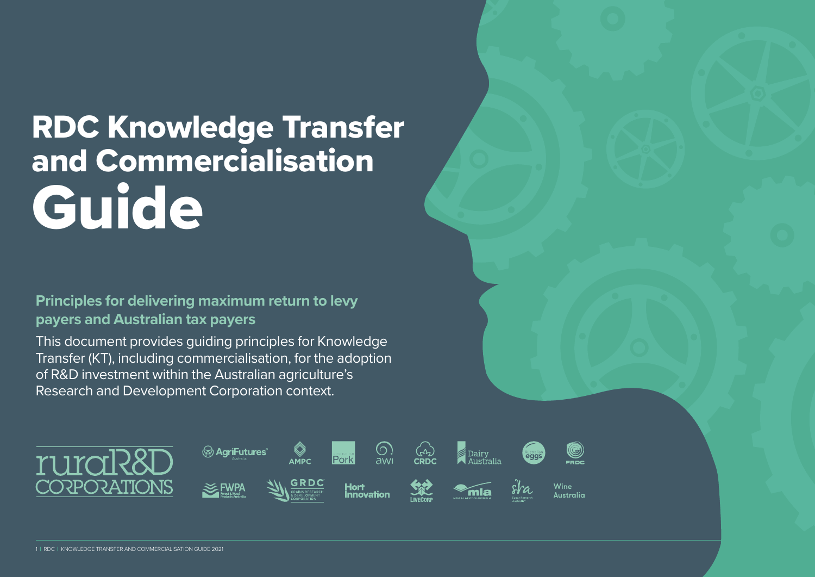# RDC Knowledge Transfer and Commercialisation Guide

#### **Principles for delivering maximum return to levy payers and Australian tax payers**

This document provides guiding principles for Knowledge Transfer (KT), including commercialisation, for the adoption of R&D investment within the Australian agriculture's Research and Development Corporation context.

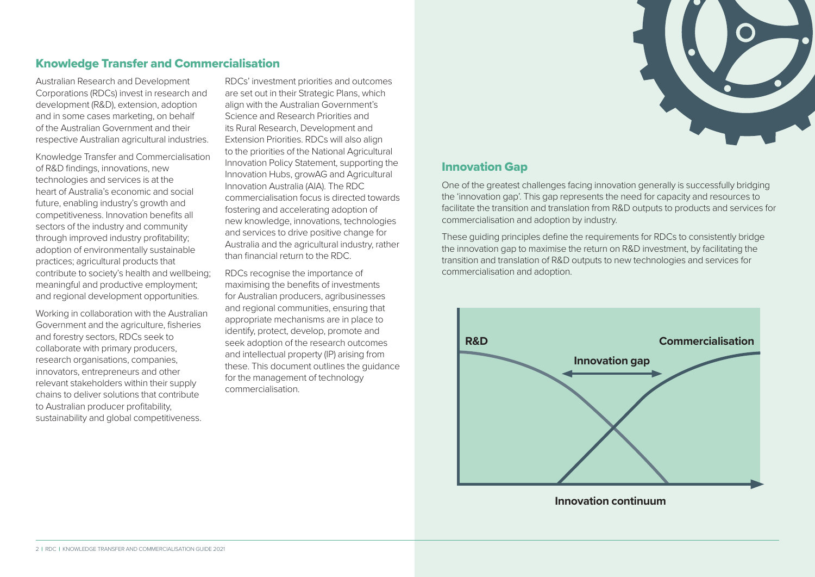

#### Knowledge Transfer and Commercialisation

Australian Research and Development Corporations (RDCs) invest in research and development (R&D), extension, adoption and in some cases marketing, on behalf of the Australian Government and their respective Australian agricultural industries.

Knowledge Transfer and Commercialisation of R&D findings, innovations, new technologies and services is at the heart of Australia's economic and social future, enabling industry's growth and competitiveness. Innovation benefits all sectors of the industry and community through improved industry profitability; adoption of environmentally sustainable practices; agricultural products that contribute to society's health and wellbeing; meaningful and productive employment; and regional development opportunities.

Working in collaboration with the Australian Government and the agriculture, fisheries and forestry sectors, RDCs seek to collaborate with primary producers, research organisations, companies, innovators, entrepreneurs and other relevant stakeholders within their supply chains to deliver solutions that contribute to Australian producer profitability, sustainability and global competitiveness.

RDCs' investment priorities and outcomes are set out in their Strategic Plans, which align with the Australian Government's Science and Research Priorities and its Rural Research, Development and Extension Priorities. RDCs will also align to the priorities of the National Agricultural Innovation Policy Statement, supporting the Innovation Hubs, growAG and Agricultural Innovation Australia (AIA). The RDC commercialisation focus is directed towards fostering and accelerating adoption of new knowledge, innovations, technologies and services to drive positive change for Australia and the agricultural industry, rather than financial return to the RDC.

RDCs recognise the importance of maximising the benefits of investments for Australian producers, agribusinesses and regional communities, ensuring that appropriate mechanisms are in place to identify, protect, develop, promote and seek adoption of the research outcomes and intellectual property (IP) arising from these. This document outlines the guidance for the management of technology commercialisation.

#### Innovation Gap

One of the greatest challenges facing innovation generally is successfully bridging the 'innovation gap'. This gap represents the need for capacity and resources to facilitate the transition and translation from R&D outputs to products and services for commercialisation and adoption by industry.

These guiding principles define the requirements for RDCs to consistently bridge the innovation gap to maximise the return on R&D investment, by facilitating the transition and translation of R&D outputs to new technologies and services for commercialisation and adoption.



**Innovation continuum**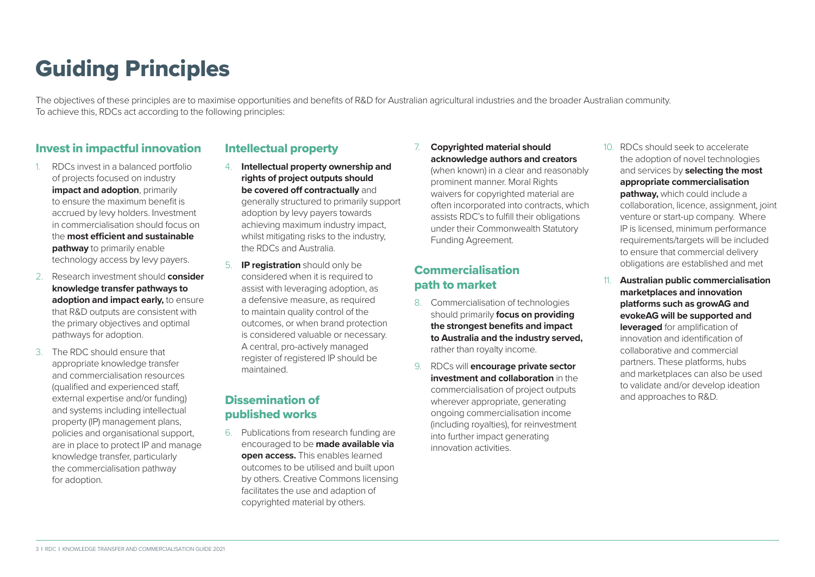# Guiding Principles

The objectives of these principles are to maximise opportunities and benefits of R&D for Australian agricultural industries and the broader Australian community. To achieve this, RDCs act according to the following principles:

#### Invest in impactful innovation

- 1. RDCs invest in a balanced portfolio of projects focused on industry **impact and adoption**, primarily to ensure the maximum benefit is accrued by levy holders. Investment in commercialisation should focus on the **most efficient and sustainable pathway** to primarily enable technology access by levy payers.
- 2. Research investment should **consider knowledge transfer pathways to adoption and impact early,** to ensure that R&D outputs are consistent with the primary objectives and optimal pathways for adoption.
- 3. The RDC should ensure that appropriate knowledge transfer and commercialisation resources (qualified and experienced staff, external expertise and/or funding) and systems including intellectual property (IP) management plans, policies and organisational support, are in place to protect IP and manage knowledge transfer, particularly the commercialisation pathway for adoption.

#### Intellectual property

- 4. **Intellectual property ownership and rights of project outputs should be covered off contractually** and generally structured to primarily support adoption by levy payers towards achieving maximum industry impact, whilst mitigating risks to the industry, the RDCs and Australia.
- 5. **IP registration** should only be considered when it is required to assist with leveraging adoption, as a defensive measure, as required to maintain quality control of the outcomes, or when brand protection is considered valuable or necessary. A central, pro-actively managed register of registered IP should be maintained.

#### Dissemination of published works

6. Publications from research funding are encouraged to be **made available via open access.** This enables learned outcomes to be utilised and built upon by others. Creative Commons licensing facilitates the use and adaption of copyrighted material by others.

#### 7. **Copyrighted material should acknowledge authors and creators**

(when known) in a clear and reasonably prominent manner. Moral Rights waivers for copyrighted material are often incorporated into contracts, which assists RDC's to fulfill their obligations under their Commonwealth Statutory Funding Agreement.

#### **Commercialisation** path to market

- 8. Commercialisation of technologies should primarily **focus on providing the strongest benefits and impact to Australia and the industry served,** rather than royalty income.
- 9. RDCs will **encourage private sector investment and collaboration** in the commercialisation of project outputs wherever appropriate, generating ongoing commercialisation income (including royalties), for reinvestment into further impact generating innovation activities.
- 10. RDCs should seek to accelerate the adoption of novel technologies and services by **selecting the most appropriate commercialisation pathway,** which could include a collaboration, licence, assignment, joint venture or start-up company. Where IP is licensed, minimum performance requirements/targets will be included to ensure that commercial delivery obligations are established and met
- 11. **Australian public commercialisation marketplaces and innovation platforms such as growAG and evokeAG will be supported and leveraged** for amplification of innovation and identification of collaborative and commercial partners. These platforms, hubs and marketplaces can also be used to validate and/or develop ideation and approaches to R&D.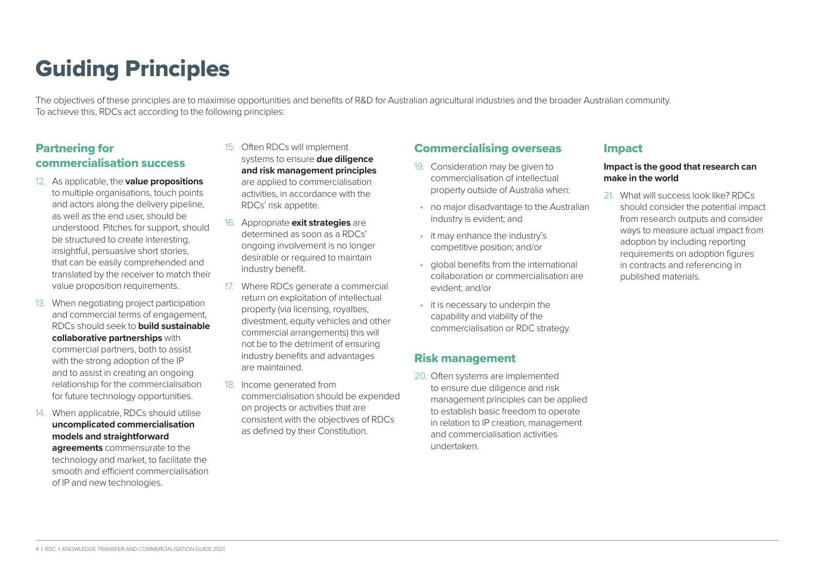# Guiding Principles

The objectives of these principles are to maximise opportunities and benefits of R&D for Australian agricultural industries and the broader Australian community. To achieve this, RDCs act according to the following principles:

#### Partnering for commercialisation success

- 12. As applicable, the **value propositions**  to multiple organisations, touch points and actors along the delivery pipeline, as well as the end user, should be understood. Pitches for support, should be structured to create interesting, insightful, persuasive short stories, that can be easily comprehended and translated by the receiver to match their value proposition requirements.
- 13. When negotiating project participation and commercial terms of engagement, RDCs should seek to **build sustainable collaborative partnerships** with commercial partners, both to assist with the strong adoption of the IP and to assist in creating an ongoing relationship for the commercialisation for future technology opportunities.
- 14. When applicable, RDCs should utilise **uncomplicated commercialisation models and straightforward agreements** commensurate to the

technology and market, to facilitate the smooth and efficient commercialisation of IP and new technologies.

- 15. Often RDCs will implement systems to ensure **due diligence and risk management principles** are applied to commercialisation activities, in accordance with the RDCs' risk appetite.
- 16. Appropriate **exit strategies** are determined as soon as a RDCs' ongoing involvement is no longer desirable or required to maintain industry benefit.
- 17. Where RDCs generate a commercial return on exploitation of intellectual property (via licensing, royalties, divestment, equity vehicles and other commercial arrangements) this will not be to the detriment of ensuring industry benefits and advantages are maintained.
- 18. Income generated from commercialisation should be expended on projects or activities that are consistent with the objectives of RDCs as defined by their Constitution.

#### Commercialising overseas

- 19. Consideration may be given to commercialisation of intellectual property outside of Australia when:
- no major disadvantage to the Australian industry is evident; and
- it may enhance the industry's competitive position; and/or
- global benefits from the international collaboration or commercialisation are evident; and/or
- it is necessary to underpin the capability and viability of the commercialisation or RDC strategy.

#### Risk management

20. Often systems are implemented to ensure due diligence and risk management principles can be applied to establish basic freedom to operate in relation to IP creation, management and commercialisation activities undertaken.

#### Impact

#### **Impact is the good that research can make in the world**

21. What will success look like? RDCs should consider the potential impact from research outputs and consider ways to measure actual impact from adoption by including reporting requirements on adoption figures in contracts and referencing in published materials.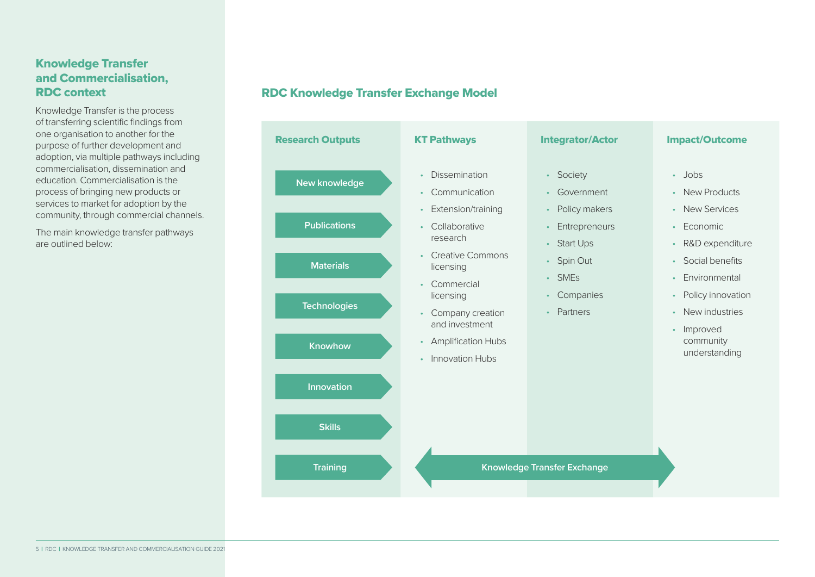#### Knowledge Transfer and Commercialisation, RDC context

Knowledge Transfer is the process of transferring scientific findings from one organisation to another for the purpose of further development and adoption, via multiple pathways including commercialisation, dissemination and education. Commercialisation is the process of bringing new products or services to market for adoption by the community, through commercial channels.

The main knowledge transfer pathways are outlined below:

#### RDC Knowledge Transfer Exchange Model

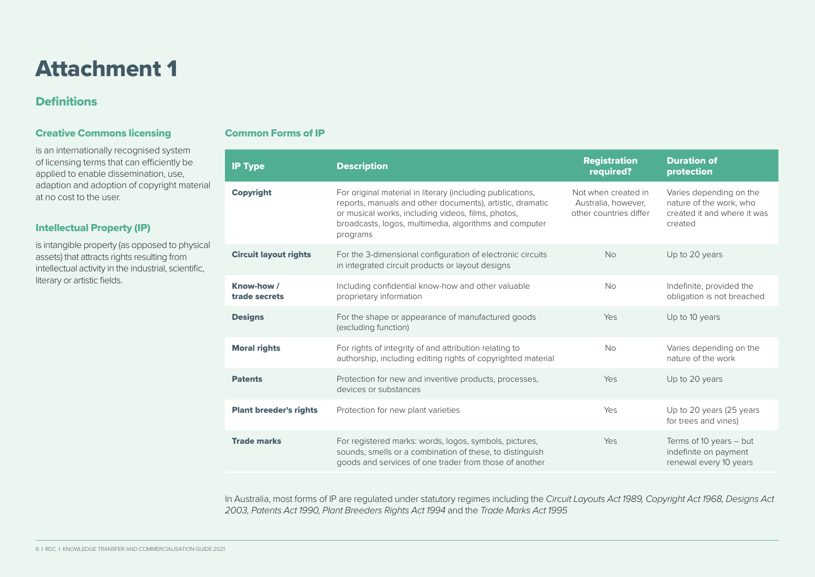### Attachment 1

#### **Definitions**

#### Creative Commons licensing

is an internationally recognised system of licensing terms that can efficiently be applied to enable dissemination, use, adaption and adoption of copyright material at no cost to the user.

#### Intellectual Property (IP)

is intangible property (as opposed to physical assets) that attracts rights resulting from intellectual activity in the industrial, scientific, literary or artistic fields.

#### Common Forms of IP

| <b>IP Type</b>                | <b>Description</b>                                                                                                                                                                                                                                  | <b>Registration</b><br>required?                                     | <b>Duration of</b><br>protection                                                             |
|-------------------------------|-----------------------------------------------------------------------------------------------------------------------------------------------------------------------------------------------------------------------------------------------------|----------------------------------------------------------------------|----------------------------------------------------------------------------------------------|
| <b>Copyright</b>              | For original material in literary (including publications,<br>reports, manuals and other documents), artistic, dramatic<br>or musical works, including videos, films, photos,<br>broadcasts, logos, multimedia, algorithms and computer<br>programs | Not when created in<br>Australia, however,<br>other countries differ | Varies depending on the<br>nature of the work, who<br>created it and where it was<br>created |
| <b>Circuit layout rights</b>  | For the 3-dimensional configuration of electronic circuits<br>in integrated circuit products or layout designs                                                                                                                                      | <b>No</b>                                                            | Up to 20 years                                                                               |
| Know-how /<br>trade secrets   | Including confidential know-how and other valuable<br>proprietary information                                                                                                                                                                       | <b>No</b>                                                            | Indefinite, provided the<br>obligation is not breached                                       |
| <b>Designs</b>                | For the shape or appearance of manufactured goods<br>(excluding function)                                                                                                                                                                           | Yes                                                                  | Up to 10 years                                                                               |
| <b>Moral rights</b>           | For rights of integrity of and attribution relating to<br>authorship, including editing rights of copyrighted material                                                                                                                              | <b>No</b>                                                            | Varies depending on the<br>nature of the work                                                |
| <b>Patents</b>                | Protection for new and inventive products, processes,<br>devices or substances                                                                                                                                                                      | Yes                                                                  | Up to 20 years                                                                               |
| <b>Plant breeder's rights</b> | Protection for new plant varieties                                                                                                                                                                                                                  | Yes                                                                  | Up to 20 years (25 years<br>for trees and vines)                                             |
| <b>Trade marks</b>            | For registered marks: words, logos, symbols, pictures,<br>sounds, smells or a combination of these, to distinguish<br>goods and services of one trader from those of another                                                                        | Yes                                                                  | Terms of 10 years $-$ but<br>indefinite on payment<br>renewal every 10 years                 |

In Australia, most forms of IP are regulated under statutory regimes including the *Circuit Layouts Act 1989, Copyright Act 1968, Designs Act 2003, Patents Act 1990, Plant Breeders Rights Act 1994* and the *Trade Marks Act 1995*